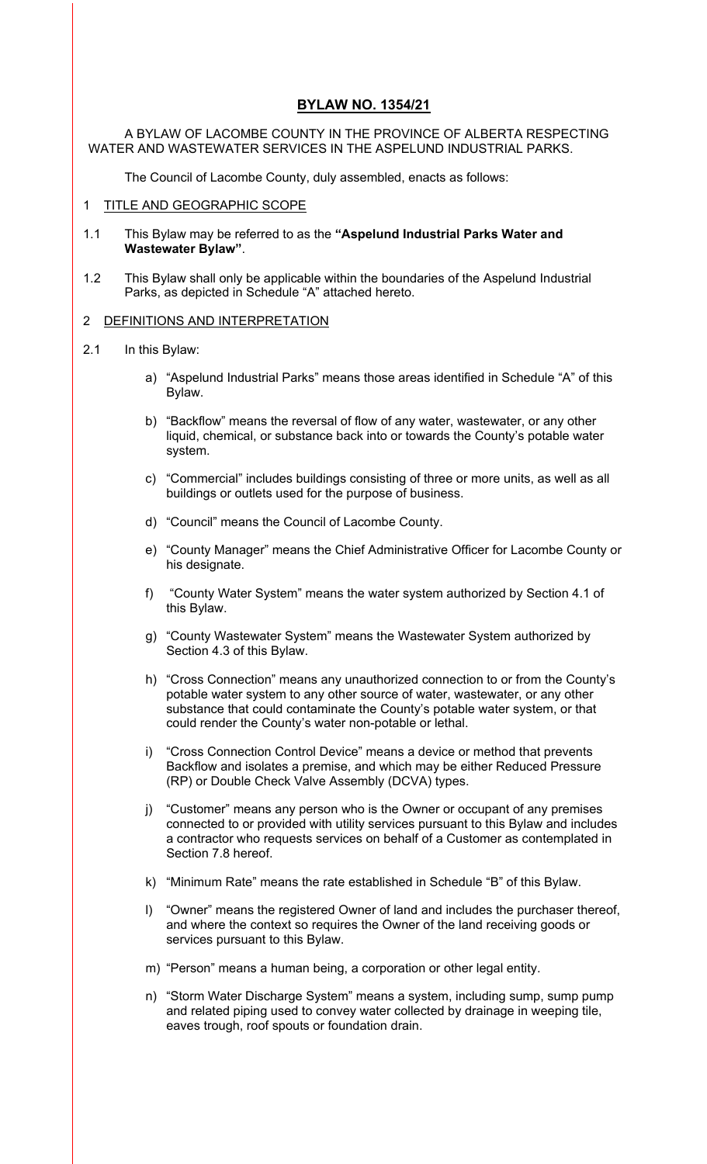# **BYLAW NO. 1354/21**

A BYLAW OF LACOMBE COUNTY IN THE PROVINCE OF ALBERTA RESPECTING WATER AND WASTEWATER SERVICES IN THE ASPELUND INDUSTRIAL PARKS.

The Council of Lacombe County, duly assembled, enacts as follows:

#### 1 TITLE AND GEOGRAPHIC SCOPE

- 1.1 This Bylaw may be referred to as the **"Aspelund Industrial Parks Water and Wastewater Bylaw"**.
- 1.2 This Bylaw shall only be applicable within the boundaries of the Aspelund Industrial Parks, as depicted in Schedule "A" attached hereto.

### 2 DEFINITIONS AND INTERPRETATION

- 2.1 In this Bylaw:
	- a) "Aspelund Industrial Parks" means those areas identified in Schedule "A" of this Bylaw.
	- b) "Backflow" means the reversal of flow of any water, wastewater, or any other liquid, chemical, or substance back into or towards the County's potable water system.
	- c) "Commercial" includes buildings consisting of three or more units, as well as all buildings or outlets used for the purpose of business.
	- d) "Council" means the Council of Lacombe County.
	- e) "County Manager" means the Chief Administrative Officer for Lacombe County or his designate.
	- f) "County Water System" means the water system authorized by Section 4.1 of this Bylaw.
	- g) "County Wastewater System" means the Wastewater System authorized by Section 4.3 of this Bylaw.
	- h) "Cross Connection" means any unauthorized connection to or from the County's potable water system to any other source of water, wastewater, or any other substance that could contaminate the County's potable water system, or that could render the County's water non-potable or lethal.
	- i) "Cross Connection Control Device" means a device or method that prevents Backflow and isolates a premise, and which may be either Reduced Pressure (RP) or Double Check Valve Assembly (DCVA) types.
	- j) "Customer" means any person who is the Owner or occupant of any premises connected to or provided with utility services pursuant to this Bylaw and includes a contractor who requests services on behalf of a Customer as contemplated in Section 7.8 hereof.
	- k) "Minimum Rate" means the rate established in Schedule "B" of this Bylaw.
	- l) "Owner" means the registered Owner of land and includes the purchaser thereof, and where the context so requires the Owner of the land receiving goods or services pursuant to this Bylaw.
	- m) "Person" means a human being, a corporation or other legal entity.
	- n) "Storm Water Discharge System" means a system, including sump, sump pump and related piping used to convey water collected by drainage in weeping tile, eaves trough, roof spouts or foundation drain.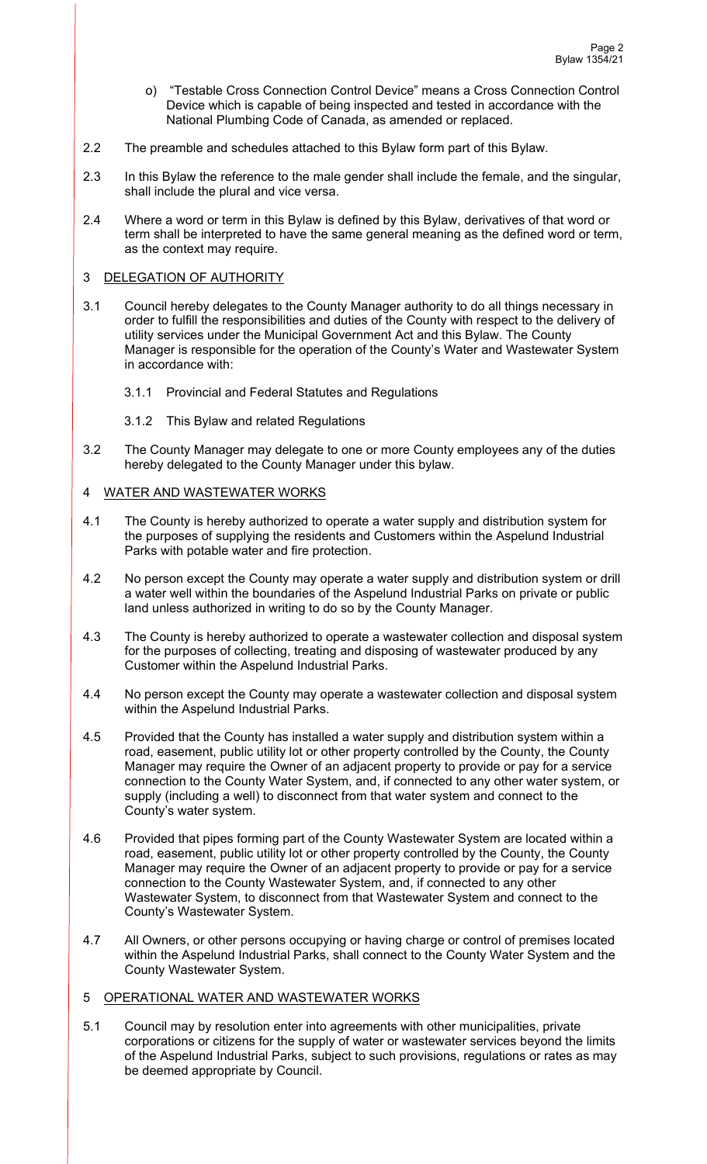- o) "Testable Cross Connection Control Device" means a Cross Connection Control Device which is capable of being inspected and tested in accordance with the National Plumbing Code of Canada, as amended or replaced.
- 2.2 The preamble and schedules attached to this Bylaw form part of this Bylaw.
- 2.3 In this Bylaw the reference to the male gender shall include the female, and the singular, shall include the plural and vice versa.
- 2.4 Where a word or term in this Bylaw is defined by this Bylaw, derivatives of that word or term shall be interpreted to have the same general meaning as the defined word or term, as the context may require.

## 3 DELEGATION OF AUTHORITY

- 3.1 Council hereby delegates to the County Manager authority to do all things necessary in order to fulfill the responsibilities and duties of the County with respect to the delivery of utility services under the Municipal Government Act and this Bylaw. The County Manager is responsible for the operation of the County's Water and Wastewater System in accordance with:
	- 3.1.1 Provincial and Federal Statutes and Regulations
	- 3.1.2 This Bylaw and related Regulations
- 3.2 The County Manager may delegate to one or more County employees any of the duties hereby delegated to the County Manager under this bylaw.

## 4 WATER AND WASTEWATER WORKS

- 4.1 The County is hereby authorized to operate a water supply and distribution system for the purposes of supplying the residents and Customers within the Aspelund Industrial Parks with potable water and fire protection.
- 4.2 No person except the County may operate a water supply and distribution system or drill a water well within the boundaries of the Aspelund Industrial Parks on private or public land unless authorized in writing to do so by the County Manager.
- 4.3 The County is hereby authorized to operate a wastewater collection and disposal system for the purposes of collecting, treating and disposing of wastewater produced by any Customer within the Aspelund Industrial Parks.
- 4.4 No person except the County may operate a wastewater collection and disposal system within the Aspelund Industrial Parks.
- 4.5 Provided that the County has installed a water supply and distribution system within a road, easement, public utility lot or other property controlled by the County, the County Manager may require the Owner of an adjacent property to provide or pay for a service connection to the County Water System, and, if connected to any other water system, or supply (including a well) to disconnect from that water system and connect to the County's water system.
- 4.6 Provided that pipes forming part of the County Wastewater System are located within a road, easement, public utility lot or other property controlled by the County, the County Manager may require the Owner of an adjacent property to provide or pay for a service connection to the County Wastewater System, and, if connected to any other Wastewater System, to disconnect from that Wastewater System and connect to the County's Wastewater System.
- 4.7 All Owners, or other persons occupying or having charge or control of premises located within the Aspelund Industrial Parks, shall connect to the County Water System and the County Wastewater System.

## 5 OPERATIONAL WATER AND WASTEWATER WORKS

5.1 Council may by resolution enter into agreements with other municipalities, private corporations or citizens for the supply of water or wastewater services beyond the limits of the Aspelund Industrial Parks, subject to such provisions, regulations or rates as may be deemed appropriate by Council.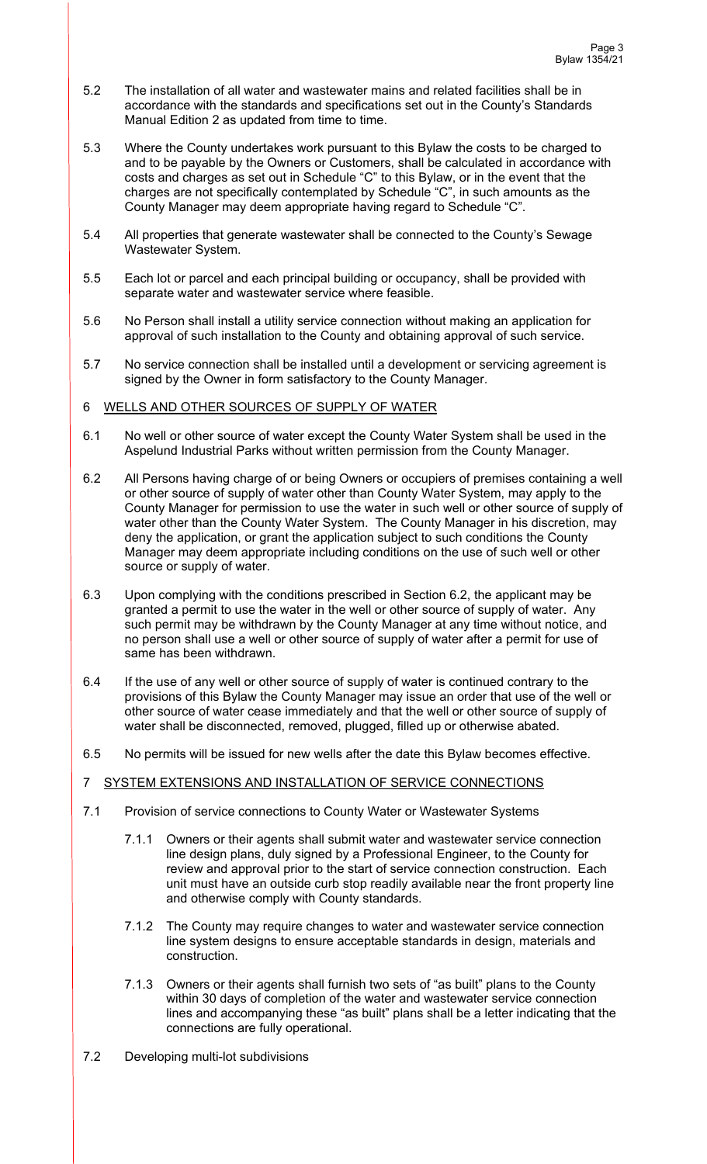- 5.2 The installation of all water and wastewater mains and related facilities shall be in accordance with the standards and specifications set out in the County's Standards Manual Edition 2 as updated from time to time.
- 5.3 Where the County undertakes work pursuant to this Bylaw the costs to be charged to and to be payable by the Owners or Customers, shall be calculated in accordance with costs and charges as set out in Schedule "C" to this Bylaw, or in the event that the charges are not specifically contemplated by Schedule "C", in such amounts as the County Manager may deem appropriate having regard to Schedule "C".
- 5.4 All properties that generate wastewater shall be connected to the County's Sewage Wastewater System.
- 5.5 Each lot or parcel and each principal building or occupancy, shall be provided with separate water and wastewater service where feasible.
- 5.6 No Person shall install a utility service connection without making an application for approval of such installation to the County and obtaining approval of such service.
- 5.7 No service connection shall be installed until a development or servicing agreement is signed by the Owner in form satisfactory to the County Manager.

## 6 WELLS AND OTHER SOURCES OF SUPPLY OF WATER

- 6.1 No well or other source of water except the County Water System shall be used in the Aspelund Industrial Parks without written permission from the County Manager.
- 6.2 All Persons having charge of or being Owners or occupiers of premises containing a well or other source of supply of water other than County Water System, may apply to the County Manager for permission to use the water in such well or other source of supply of water other than the County Water System. The County Manager in his discretion, may deny the application, or grant the application subject to such conditions the County Manager may deem appropriate including conditions on the use of such well or other source or supply of water.
- 6.3 Upon complying with the conditions prescribed in Section 6.2, the applicant may be granted a permit to use the water in the well or other source of supply of water. Any such permit may be withdrawn by the County Manager at any time without notice, and no person shall use a well or other source of supply of water after a permit for use of same has been withdrawn.
- 6.4 If the use of any well or other source of supply of water is continued contrary to the provisions of this Bylaw the County Manager may issue an order that use of the well or other source of water cease immediately and that the well or other source of supply of water shall be disconnected, removed, plugged, filled up or otherwise abated.
- 6.5 No permits will be issued for new wells after the date this Bylaw becomes effective.

# 7 SYSTEM EXTENSIONS AND INSTALLATION OF SERVICE CONNECTIONS

- 7.1 Provision of service connections to County Water or Wastewater Systems
	- 7.1.1 Owners or their agents shall submit water and wastewater service connection line design plans, duly signed by a Professional Engineer, to the County for review and approval prior to the start of service connection construction. Each unit must have an outside curb stop readily available near the front property line and otherwise comply with County standards.
	- 7.1.2 The County may require changes to water and wastewater service connection line system designs to ensure acceptable standards in design, materials and construction.
	- 7.1.3 Owners or their agents shall furnish two sets of "as built" plans to the County within 30 days of completion of the water and wastewater service connection lines and accompanying these "as built" plans shall be a letter indicating that the connections are fully operational.
- 7.2 Developing multi-lot subdivisions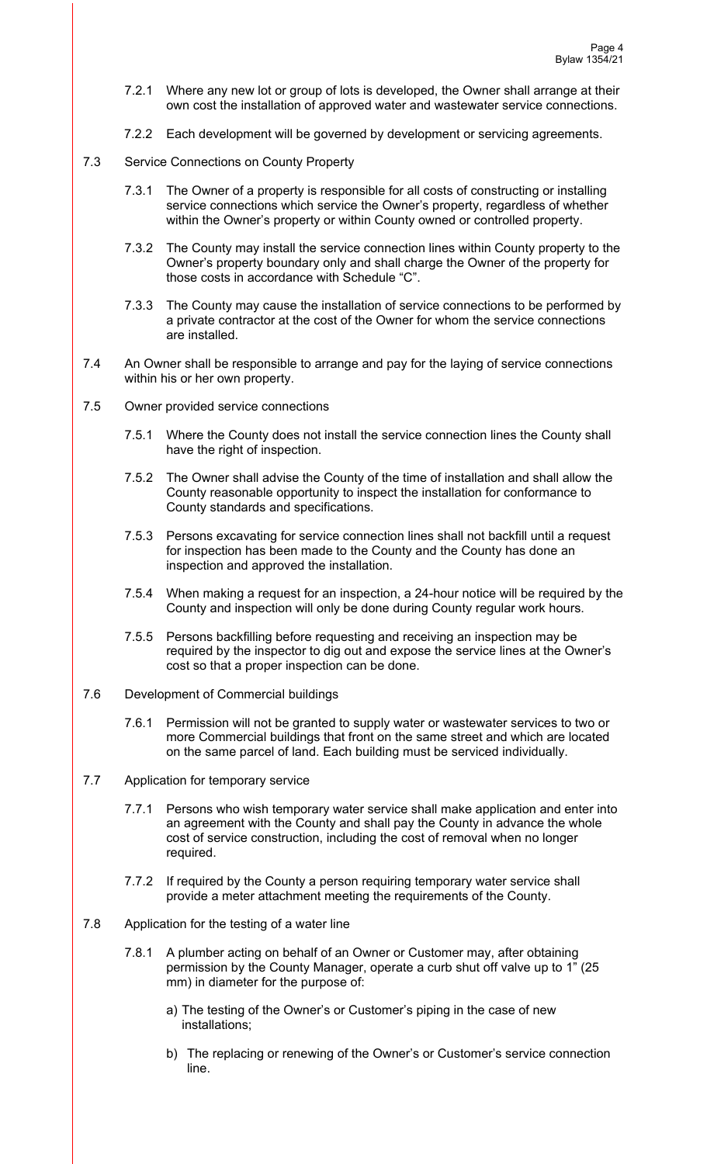- 7.2.1 Where any new lot or group of lots is developed, the Owner shall arrange at their own cost the installation of approved water and wastewater service connections.
- 7.2.2 Each development will be governed by development or servicing agreements.
- 7.3 Service Connections on County Property
	- 7.3.1 The Owner of a property is responsible for all costs of constructing or installing service connections which service the Owner's property, regardless of whether within the Owner's property or within County owned or controlled property.
	- 7.3.2 The County may install the service connection lines within County property to the Owner's property boundary only and shall charge the Owner of the property for those costs in accordance with Schedule "C".
	- 7.3.3 The County may cause the installation of service connections to be performed by a private contractor at the cost of the Owner for whom the service connections are installed.
- 7.4 An Owner shall be responsible to arrange and pay for the laying of service connections within his or her own property.
- 7.5 Owner provided service connections
	- 7.5.1 Where the County does not install the service connection lines the County shall have the right of inspection.
	- 7.5.2 The Owner shall advise the County of the time of installation and shall allow the County reasonable opportunity to inspect the installation for conformance to County standards and specifications.
	- 7.5.3 Persons excavating for service connection lines shall not backfill until a request for inspection has been made to the County and the County has done an inspection and approved the installation.
	- 7.5.4 When making a request for an inspection, a 24-hour notice will be required by the County and inspection will only be done during County regular work hours.
	- 7.5.5 Persons backfilling before requesting and receiving an inspection may be required by the inspector to dig out and expose the service lines at the Owner's cost so that a proper inspection can be done.
- 7.6 Development of Commercial buildings
	- 7.6.1 Permission will not be granted to supply water or wastewater services to two or more Commercial buildings that front on the same street and which are located on the same parcel of land. Each building must be serviced individually.
- 7.7 Application for temporary service
	- 7.7.1 Persons who wish temporary water service shall make application and enter into an agreement with the County and shall pay the County in advance the whole cost of service construction, including the cost of removal when no longer required.
	- 7.7.2 If required by the County a person requiring temporary water service shall provide a meter attachment meeting the requirements of the County.
- 7.8 Application for the testing of a water line
	- 7.8.1 A plumber acting on behalf of an Owner or Customer may, after obtaining permission by the County Manager, operate a curb shut off valve up to 1" (25 mm) in diameter for the purpose of:
		- a) The testing of the Owner's or Customer's piping in the case of new installations;
		- b) The replacing or renewing of the Owner's or Customer's service connection line.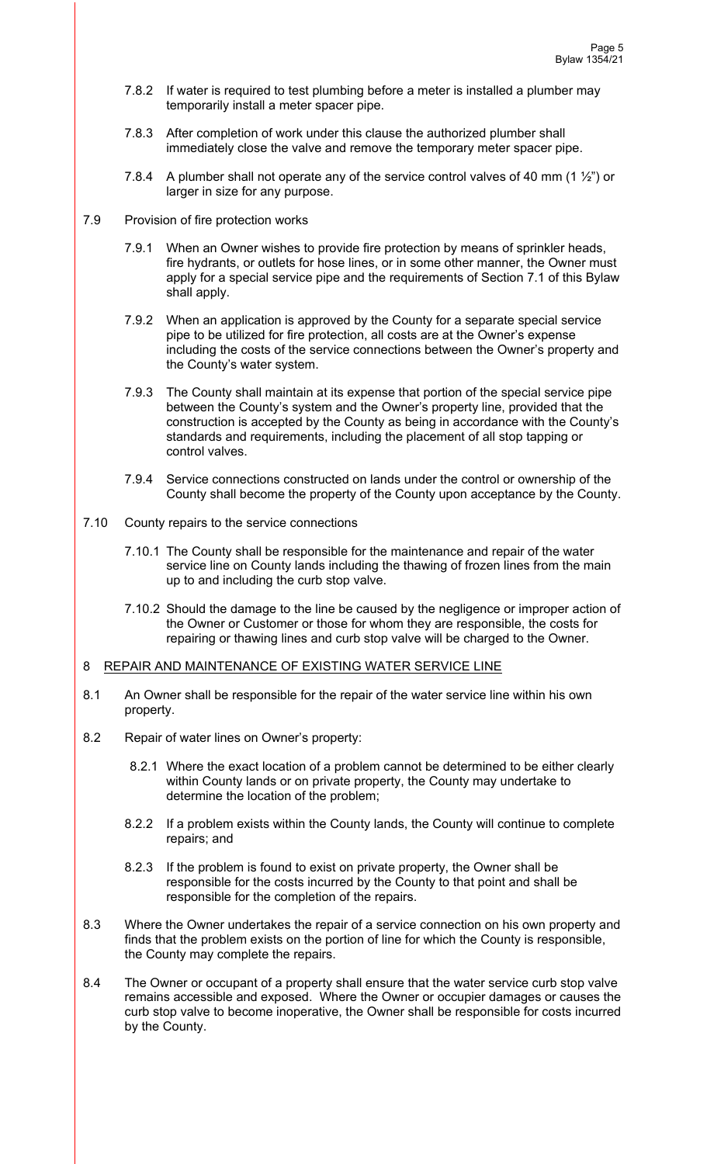- 7.8.2 If water is required to test plumbing before a meter is installed a plumber may temporarily install a meter spacer pipe.
- 7.8.3 After completion of work under this clause the authorized plumber shall immediately close the valve and remove the temporary meter spacer pipe.
- 7.8.4 A plumber shall not operate any of the service control valves of 40 mm (1  $\frac{1}{2}$ ) or larger in size for any purpose.
- 7.9 Provision of fire protection works
	- 7.9.1 When an Owner wishes to provide fire protection by means of sprinkler heads, fire hydrants, or outlets for hose lines, or in some other manner, the Owner must apply for a special service pipe and the requirements of Section 7.1 of this Bylaw shall apply.
	- 7.9.2 When an application is approved by the County for a separate special service pipe to be utilized for fire protection, all costs are at the Owner's expense including the costs of the service connections between the Owner's property and the County's water system.
	- 7.9.3 The County shall maintain at its expense that portion of the special service pipe between the County's system and the Owner's property line, provided that the construction is accepted by the County as being in accordance with the County's standards and requirements, including the placement of all stop tapping or control valves.
	- 7.9.4 Service connections constructed on lands under the control or ownership of the County shall become the property of the County upon acceptance by the County.
- 7.10 County repairs to the service connections
	- 7.10.1 The County shall be responsible for the maintenance and repair of the water service line on County lands including the thawing of frozen lines from the main up to and including the curb stop valve.
	- 7.10.2 Should the damage to the line be caused by the negligence or improper action of the Owner or Customer or those for whom they are responsible, the costs for repairing or thawing lines and curb stop valve will be charged to the Owner.

### 8 REPAIR AND MAINTENANCE OF EXISTING WATER SERVICE LINE

- 8.1 An Owner shall be responsible for the repair of the water service line within his own property.
- 8.2 Repair of water lines on Owner's property:
	- 8.2.1 Where the exact location of a problem cannot be determined to be either clearly within County lands or on private property, the County may undertake to determine the location of the problem;
	- 8.2.2 If a problem exists within the County lands, the County will continue to complete repairs; and
	- 8.2.3 If the problem is found to exist on private property, the Owner shall be responsible for the costs incurred by the County to that point and shall be responsible for the completion of the repairs.
- 8.3 Where the Owner undertakes the repair of a service connection on his own property and finds that the problem exists on the portion of line for which the County is responsible, the County may complete the repairs.
- 8.4 The Owner or occupant of a property shall ensure that the water service curb stop valve remains accessible and exposed. Where the Owner or occupier damages or causes the curb stop valve to become inoperative, the Owner shall be responsible for costs incurred by the County.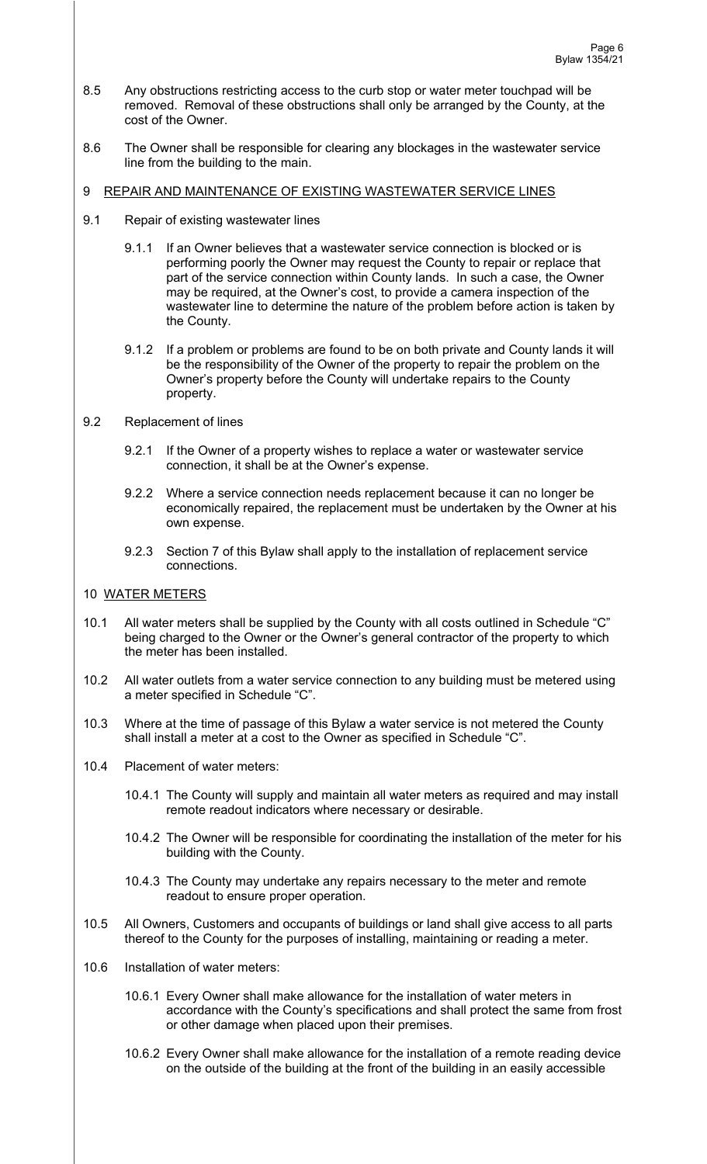- 8.5 Any obstructions restricting access to the curb stop or water meter touchpad will be removed. Removal of these obstructions shall only be arranged by the County, at the cost of the Owner.
- 8.6 The Owner shall be responsible for clearing any blockages in the wastewater service line from the building to the main.

#### 9 REPAIR AND MAINTENANCE OF EXISTING WASTEWATER SERVICE LINES

- 9.1 Repair of existing wastewater lines
	- 9.1.1 If an Owner believes that a wastewater service connection is blocked or is performing poorly the Owner may request the County to repair or replace that part of the service connection within County lands. In such a case, the Owner may be required, at the Owner's cost, to provide a camera inspection of the wastewater line to determine the nature of the problem before action is taken by the County.
	- 9.1.2 If a problem or problems are found to be on both private and County lands it will be the responsibility of the Owner of the property to repair the problem on the Owner's property before the County will undertake repairs to the County property.

### 9.2 Replacement of lines

- 9.2.1 If the Owner of a property wishes to replace a water or wastewater service connection, it shall be at the Owner's expense.
- 9.2.2 Where a service connection needs replacement because it can no longer be economically repaired, the replacement must be undertaken by the Owner at his own expense.
- 9.2.3 Section 7 of this Bylaw shall apply to the installation of replacement service connections.

#### 10 WATER METERS

- 10.1 All water meters shall be supplied by the County with all costs outlined in Schedule "C" being charged to the Owner or the Owner's general contractor of the property to which the meter has been installed.
- 10.2 All water outlets from a water service connection to any building must be metered using a meter specified in Schedule "C".
- 10.3 Where at the time of passage of this Bylaw a water service is not metered the County shall install a meter at a cost to the Owner as specified in Schedule "C".
- 10.4 Placement of water meters:
	- 10.4.1 The County will supply and maintain all water meters as required and may install remote readout indicators where necessary or desirable.
	- 10.4.2 The Owner will be responsible for coordinating the installation of the meter for his building with the County.
	- 10.4.3 The County may undertake any repairs necessary to the meter and remote readout to ensure proper operation.
- 10.5 All Owners, Customers and occupants of buildings or land shall give access to all parts thereof to the County for the purposes of installing, maintaining or reading a meter.
- 10.6 Installation of water meters:
	- 10.6.1 Every Owner shall make allowance for the installation of water meters in accordance with the County's specifications and shall protect the same from frost or other damage when placed upon their premises.
	- 10.6.2 Every Owner shall make allowance for the installation of a remote reading device on the outside of the building at the front of the building in an easily accessible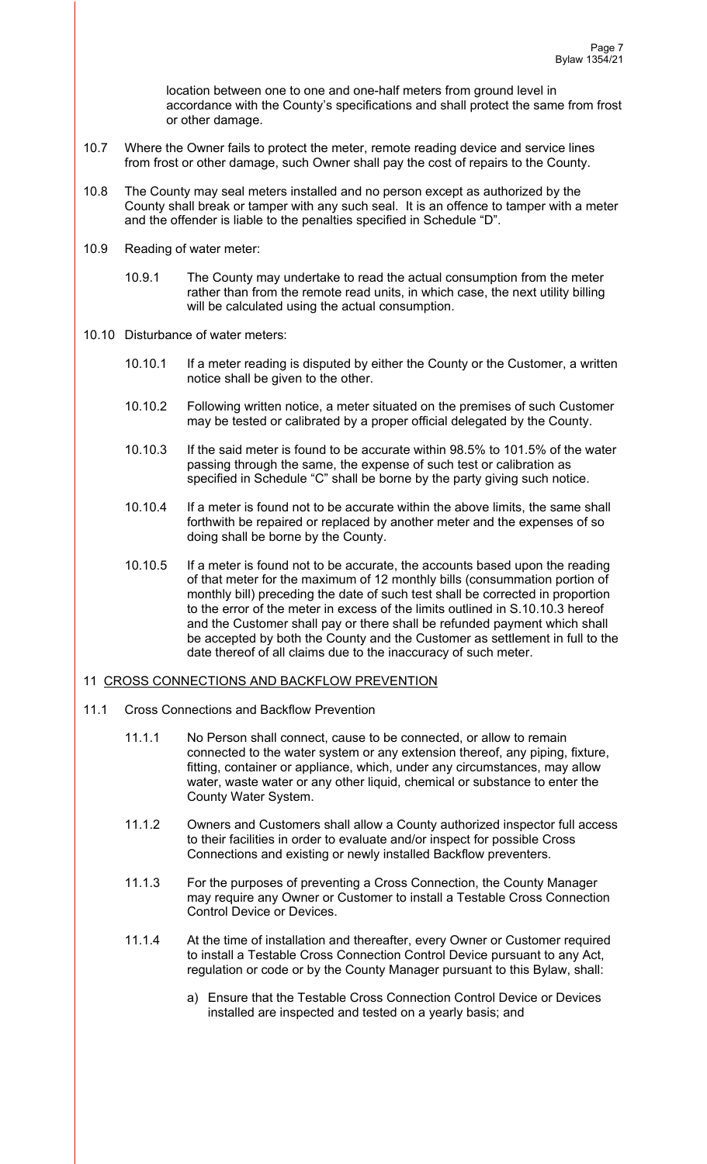location between one to one and one-half meters from ground level in accordance with the County's specifications and shall protect the same from frost or other damage.

- 10.7 Where the Owner fails to protect the meter, remote reading device and service lines from frost or other damage, such Owner shall pay the cost of repairs to the County.
- 10.8 The County may seal meters installed and no person except as authorized by the County shall break or tamper with any such seal. It is an offence to tamper with a meter and the offender is liable to the penalties specified in Schedule "D".
- 10.9 Reading of water meter:
	- 10.9.1 The County may undertake to read the actual consumption from the meter rather than from the remote read units, in which case, the next utility billing will be calculated using the actual consumption.
- 10.10 Disturbance of water meters:
	- 10.10.1 If a meter reading is disputed by either the County or the Customer, a written notice shall be given to the other.
	- 10.10.2 Following written notice, a meter situated on the premises of such Customer may be tested or calibrated by a proper official delegated by the County.
	- 10.10.3 If the said meter is found to be accurate within 98.5% to 101.5% of the water passing through the same, the expense of such test or calibration as specified in Schedule "C" shall be borne by the party giving such notice.
	- 10.10.4 If a meter is found not to be accurate within the above limits, the same shall forthwith be repaired or replaced by another meter and the expenses of so doing shall be borne by the County.
	- 10.10.5 If a meter is found not to be accurate, the accounts based upon the reading of that meter for the maximum of 12 monthly bills (consummation portion of monthly bill) preceding the date of such test shall be corrected in proportion to the error of the meter in excess of the limits outlined in S.10.10.3 hereof and the Customer shall pay or there shall be refunded payment which shall be accepted by both the County and the Customer as settlement in full to the date thereof of all claims due to the inaccuracy of such meter.

#### 11 CROSS CONNECTIONS AND BACKFLOW PREVENTION

- 11.1 Cross Connections and Backflow Prevention
	- 11.1.1 No Person shall connect, cause to be connected, or allow to remain connected to the water system or any extension thereof, any piping, fixture, fitting, container or appliance, which, under any circumstances, may allow water, waste water or any other liquid, chemical or substance to enter the County Water System.
	- 11.1.2 Owners and Customers shall allow a County authorized inspector full access to their facilities in order to evaluate and/or inspect for possible Cross Connections and existing or newly installed Backflow preventers.
	- 11.1.3 For the purposes of preventing a Cross Connection, the County Manager may require any Owner or Customer to install a Testable Cross Connection Control Device or Devices.
	- 11.1.4 At the time of installation and thereafter, every Owner or Customer required to install a Testable Cross Connection Control Device pursuant to any Act, regulation or code or by the County Manager pursuant to this Bylaw, shall:
		- a) Ensure that the Testable Cross Connection Control Device or Devices installed are inspected and tested on a yearly basis; and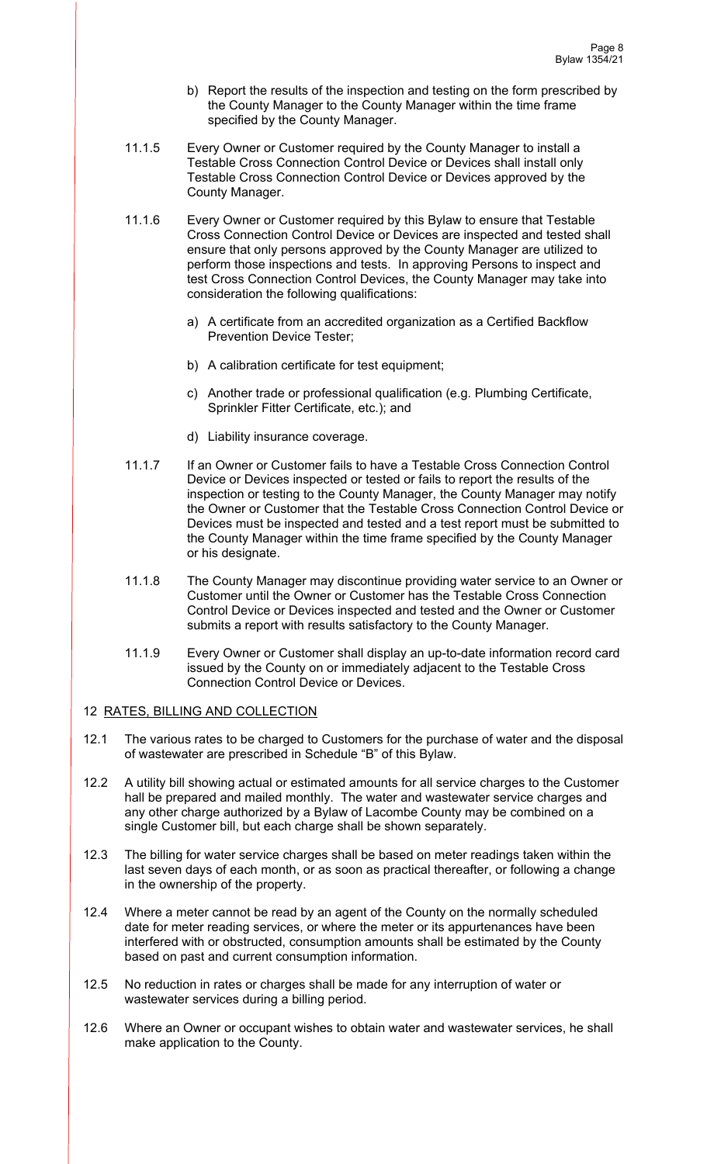- b) Report the results of the inspection and testing on the form prescribed by the County Manager to the County Manager within the time frame specified by the County Manager.
- 11.1.5 Every Owner or Customer required by the County Manager to install a Testable Cross Connection Control Device or Devices shall install only Testable Cross Connection Control Device or Devices approved by the County Manager.
- 11.1.6 Every Owner or Customer required by this Bylaw to ensure that Testable Cross Connection Control Device or Devices are inspected and tested shall ensure that only persons approved by the County Manager are utilized to perform those inspections and tests. In approving Persons to inspect and test Cross Connection Control Devices, the County Manager may take into consideration the following qualifications:
	- a) A certificate from an accredited organization as a Certified Backflow Prevention Device Tester;
	- b) A calibration certificate for test equipment;
	- c) Another trade or professional qualification (e.g. Plumbing Certificate, Sprinkler Fitter Certificate, etc.); and
	- d) Liability insurance coverage.
- 11.1.7 If an Owner or Customer fails to have a Testable Cross Connection Control Device or Devices inspected or tested or fails to report the results of the inspection or testing to the County Manager, the County Manager may notify the Owner or Customer that the Testable Cross Connection Control Device or Devices must be inspected and tested and a test report must be submitted to the County Manager within the time frame specified by the County Manager or his designate.
- 11.1.8 The County Manager may discontinue providing water service to an Owner or Customer until the Owner or Customer has the Testable Cross Connection Control Device or Devices inspected and tested and the Owner or Customer submits a report with results satisfactory to the County Manager.
- 11.1.9 Every Owner or Customer shall display an up-to-date information record card issued by the County on or immediately adjacent to the Testable Cross Connection Control Device or Devices.

## 12 RATES, BILLING AND COLLECTION

- 12.1 The various rates to be charged to Customers for the purchase of water and the disposal of wastewater are prescribed in Schedule "B" of this Bylaw.
- 12.2 A utility bill showing actual or estimated amounts for all service charges to the Customer hall be prepared and mailed monthly. The water and wastewater service charges and any other charge authorized by a Bylaw of Lacombe County may be combined on a single Customer bill, but each charge shall be shown separately.
- 12.3 The billing for water service charges shall be based on meter readings taken within the last seven days of each month, or as soon as practical thereafter, or following a change in the ownership of the property.
- 12.4 Where a meter cannot be read by an agent of the County on the normally scheduled date for meter reading services, or where the meter or its appurtenances have been interfered with or obstructed, consumption amounts shall be estimated by the County based on past and current consumption information.
- 12.5 No reduction in rates or charges shall be made for any interruption of water or wastewater services during a billing period.
- 12.6 Where an Owner or occupant wishes to obtain water and wastewater services, he shall make application to the County.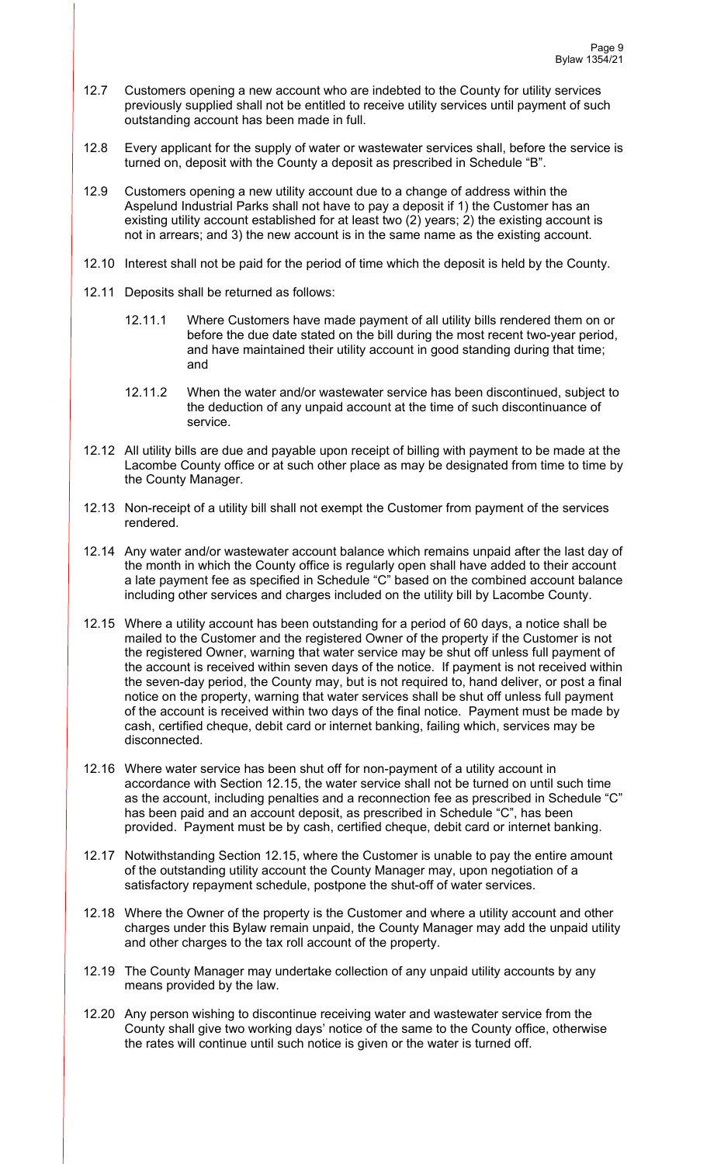- 12.7 Customers opening a new account who are indebted to the County for utility services previously supplied shall not be entitled to receive utility services until payment of such outstanding account has been made in full.
- 12.8 Every applicant for the supply of water or wastewater services shall, before the service is turned on, deposit with the County a deposit as prescribed in Schedule "B".
- 12.9 Customers opening a new utility account due to a change of address within the Aspelund Industrial Parks shall not have to pay a deposit if 1) the Customer has an existing utility account established for at least two (2) years; 2) the existing account is not in arrears; and 3) the new account is in the same name as the existing account.
- 12.10 Interest shall not be paid for the period of time which the deposit is held by the County.
- 12.11 Deposits shall be returned as follows:
	- 12.11.1 Where Customers have made payment of all utility bills rendered them on or before the due date stated on the bill during the most recent two-year period, and have maintained their utility account in good standing during that time; and
	- 12.11.2 When the water and/or wastewater service has been discontinued, subject to the deduction of any unpaid account at the time of such discontinuance of service.
- 12.12 All utility bills are due and payable upon receipt of billing with payment to be made at the Lacombe County office or at such other place as may be designated from time to time by the County Manager.
- 12.13 Non-receipt of a utility bill shall not exempt the Customer from payment of the services rendered.
- 12.14 Any water and/or wastewater account balance which remains unpaid after the last day of the month in which the County office is regularly open shall have added to their account a late payment fee as specified in Schedule "C" based on the combined account balance including other services and charges included on the utility bill by Lacombe County.
- 12.15 Where a utility account has been outstanding for a period of 60 days, a notice shall be mailed to the Customer and the registered Owner of the property if the Customer is not the registered Owner, warning that water service may be shut off unless full payment of the account is received within seven days of the notice. If payment is not received within the seven-day period, the County may, but is not required to, hand deliver, or post a final notice on the property, warning that water services shall be shut off unless full payment of the account is received within two days of the final notice. Payment must be made by cash, certified cheque, debit card or internet banking, failing which, services may be disconnected.
- 12.16 Where water service has been shut off for non-payment of a utility account in accordance with Section 12.15, the water service shall not be turned on until such time as the account, including penalties and a reconnection fee as prescribed in Schedule "C" has been paid and an account deposit, as prescribed in Schedule "C", has been provided. Payment must be by cash, certified cheque, debit card or internet banking.
- 12.17 Notwithstanding Section 12.15, where the Customer is unable to pay the entire amount of the outstanding utility account the County Manager may, upon negotiation of a satisfactory repayment schedule, postpone the shut-off of water services.
- 12.18 Where the Owner of the property is the Customer and where a utility account and other charges under this Bylaw remain unpaid, the County Manager may add the unpaid utility and other charges to the tax roll account of the property.
- 12.19 The County Manager may undertake collection of any unpaid utility accounts by any means provided by the law.
- 12.20 Any person wishing to discontinue receiving water and wastewater service from the County shall give two working days' notice of the same to the County office, otherwise the rates will continue until such notice is given or the water is turned off.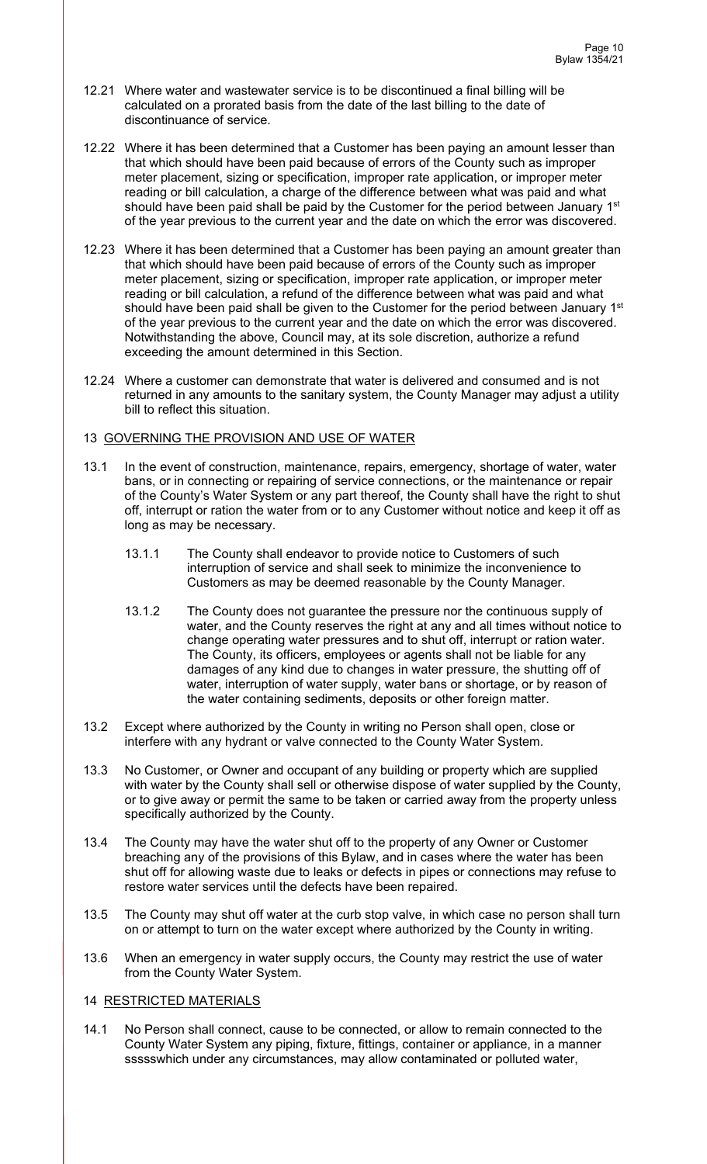- 12.21 Where water and wastewater service is to be discontinued a final billing will be calculated on a prorated basis from the date of the last billing to the date of discontinuance of service.
- 12.22 Where it has been determined that a Customer has been paying an amount lesser than that which should have been paid because of errors of the County such as improper meter placement, sizing or specification, improper rate application, or improper meter reading or bill calculation, a charge of the difference between what was paid and what should have been paid shall be paid by the Customer for the period between January 1<sup>st</sup> of the year previous to the current year and the date on which the error was discovered.
- 12.23 Where it has been determined that a Customer has been paying an amount greater than that which should have been paid because of errors of the County such as improper meter placement, sizing or specification, improper rate application, or improper meter reading or bill calculation, a refund of the difference between what was paid and what should have been paid shall be given to the Customer for the period between January 1st of the year previous to the current year and the date on which the error was discovered. Notwithstanding the above, Council may, at its sole discretion, authorize a refund exceeding the amount determined in this Section.
- 12.24 Where a customer can demonstrate that water is delivered and consumed and is not returned in any amounts to the sanitary system, the County Manager may adjust a utility bill to reflect this situation.

### 13 GOVERNING THE PROVISION AND USE OF WATER

- 13.1 In the event of construction, maintenance, repairs, emergency, shortage of water, water bans, or in connecting or repairing of service connections, or the maintenance or repair of the County's Water System or any part thereof, the County shall have the right to shut off, interrupt or ration the water from or to any Customer without notice and keep it off as long as may be necessary.
	- 13.1.1 The County shall endeavor to provide notice to Customers of such interruption of service and shall seek to minimize the inconvenience to Customers as may be deemed reasonable by the County Manager.
	- 13.1.2 The County does not guarantee the pressure nor the continuous supply of water, and the County reserves the right at any and all times without notice to change operating water pressures and to shut off, interrupt or ration water. The County, its officers, employees or agents shall not be liable for any damages of any kind due to changes in water pressure, the shutting off of water, interruption of water supply, water bans or shortage, or by reason of the water containing sediments, deposits or other foreign matter.
- 13.2 Except where authorized by the County in writing no Person shall open, close or interfere with any hydrant or valve connected to the County Water System.
- 13.3 No Customer, or Owner and occupant of any building or property which are supplied with water by the County shall sell or otherwise dispose of water supplied by the County, or to give away or permit the same to be taken or carried away from the property unless specifically authorized by the County.
- 13.4 The County may have the water shut off to the property of any Owner or Customer breaching any of the provisions of this Bylaw, and in cases where the water has been shut off for allowing waste due to leaks or defects in pipes or connections may refuse to restore water services until the defects have been repaired.
- 13.5 The County may shut off water at the curb stop valve, in which case no person shall turn on or attempt to turn on the water except where authorized by the County in writing.
- 13.6 When an emergency in water supply occurs, the County may restrict the use of water from the County Water System.

### 14 RESTRICTED MATERIALS

14.1 No Person shall connect, cause to be connected, or allow to remain connected to the County Water System any piping, fixture, fittings, container or appliance, in a manner ssssswhich under any circumstances, may allow contaminated or polluted water,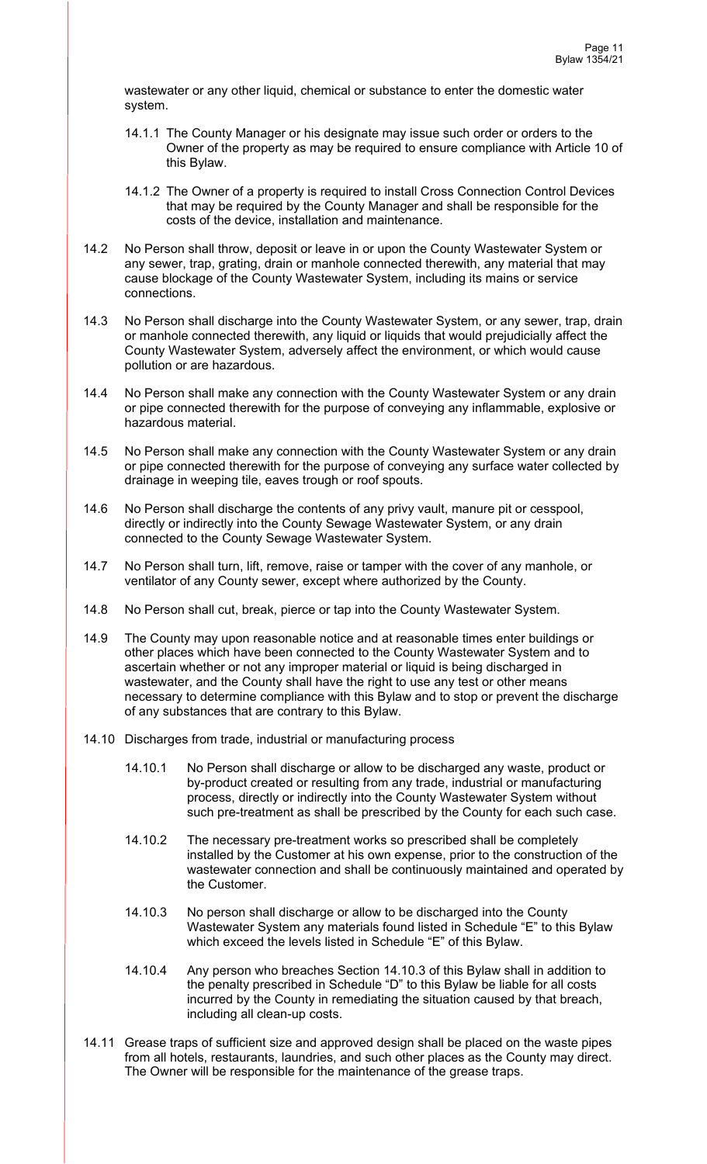wastewater or any other liquid, chemical or substance to enter the domestic water system.

- 14.1.1 The County Manager or his designate may issue such order or orders to the Owner of the property as may be required to ensure compliance with Article 10 of this Bylaw.
- 14.1.2 The Owner of a property is required to install Cross Connection Control Devices that may be required by the County Manager and shall be responsible for the costs of the device, installation and maintenance.
- 14.2 No Person shall throw, deposit or leave in or upon the County Wastewater System or any sewer, trap, grating, drain or manhole connected therewith, any material that may cause blockage of the County Wastewater System, including its mains or service connections.
- 14.3 No Person shall discharge into the County Wastewater System, or any sewer, trap, drain or manhole connected therewith, any liquid or liquids that would prejudicially affect the County Wastewater System, adversely affect the environment, or which would cause pollution or are hazardous.
- 14.4 No Person shall make any connection with the County Wastewater System or any drain or pipe connected therewith for the purpose of conveying any inflammable, explosive or hazardous material.
- 14.5 No Person shall make any connection with the County Wastewater System or any drain or pipe connected therewith for the purpose of conveying any surface water collected by drainage in weeping tile, eaves trough or roof spouts.
- 14.6 No Person shall discharge the contents of any privy vault, manure pit or cesspool, directly or indirectly into the County Sewage Wastewater System, or any drain connected to the County Sewage Wastewater System.
- 14.7 No Person shall turn, lift, remove, raise or tamper with the cover of any manhole, or ventilator of any County sewer, except where authorized by the County.
- 14.8 No Person shall cut, break, pierce or tap into the County Wastewater System.
- 14.9 The County may upon reasonable notice and at reasonable times enter buildings or other places which have been connected to the County Wastewater System and to ascertain whether or not any improper material or liquid is being discharged in wastewater, and the County shall have the right to use any test or other means necessary to determine compliance with this Bylaw and to stop or prevent the discharge of any substances that are contrary to this Bylaw.
- 14.10 Discharges from trade, industrial or manufacturing process
	- 14.10.1 No Person shall discharge or allow to be discharged any waste, product or by-product created or resulting from any trade, industrial or manufacturing process, directly or indirectly into the County Wastewater System without such pre-treatment as shall be prescribed by the County for each such case.
	- 14.10.2 The necessary pre-treatment works so prescribed shall be completely installed by the Customer at his own expense, prior to the construction of the wastewater connection and shall be continuously maintained and operated by the Customer.
	- 14.10.3 No person shall discharge or allow to be discharged into the County Wastewater System any materials found listed in Schedule "E" to this Bylaw which exceed the levels listed in Schedule "E" of this Bylaw.
	- 14.10.4 Any person who breaches Section 14.10.3 of this Bylaw shall in addition to the penalty prescribed in Schedule "D" to this Bylaw be liable for all costs incurred by the County in remediating the situation caused by that breach, including all clean-up costs.
- 14.11 Grease traps of sufficient size and approved design shall be placed on the waste pipes from all hotels, restaurants, laundries, and such other places as the County may direct. The Owner will be responsible for the maintenance of the grease traps.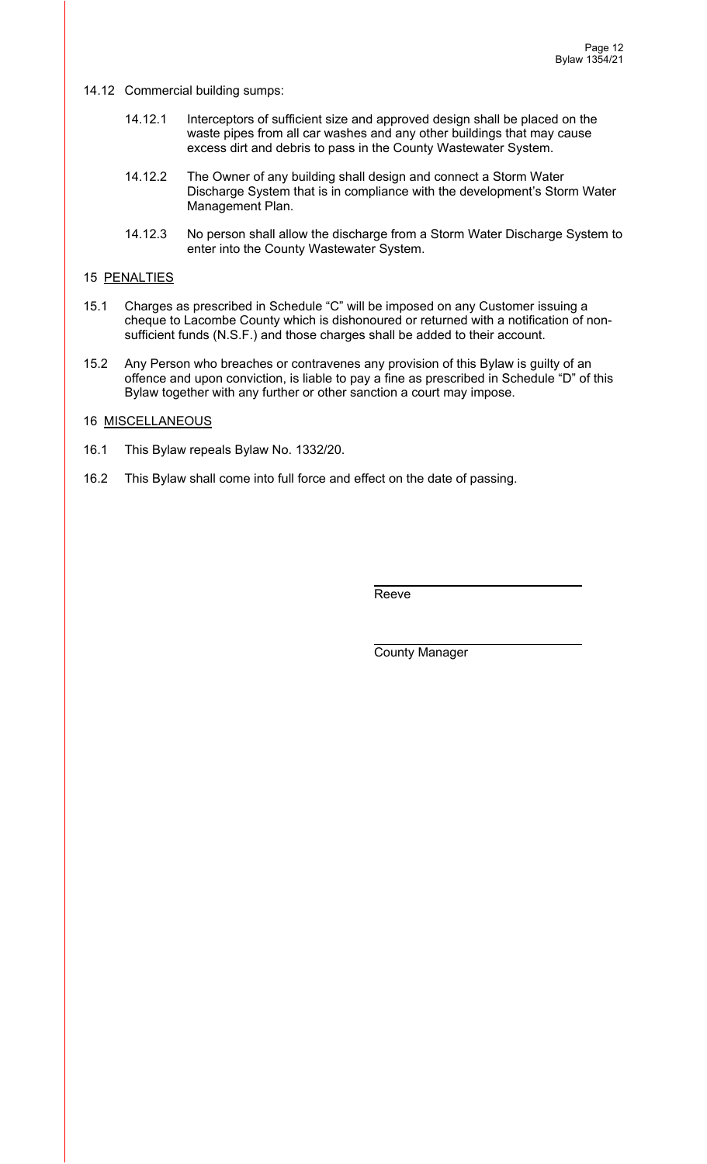14.12 Commercial building sumps:

- 14.12.1 Interceptors of sufficient size and approved design shall be placed on the waste pipes from all car washes and any other buildings that may cause excess dirt and debris to pass in the County Wastewater System.
- 14.12.2 The Owner of any building shall design and connect a Storm Water Discharge System that is in compliance with the development's Storm Water Management Plan.
- 14.12.3 No person shall allow the discharge from a Storm Water Discharge System to enter into the County Wastewater System.

### 15 PENALTIES

- 15.1 Charges as prescribed in Schedule "C" will be imposed on any Customer issuing a cheque to Lacombe County which is dishonoured or returned with a notification of nonsufficient funds (N.S.F.) and those charges shall be added to their account.
- 15.2 Any Person who breaches or contravenes any provision of this Bylaw is guilty of an offence and upon conviction, is liable to pay a fine as prescribed in Schedule "D" of this Bylaw together with any further or other sanction a court may impose.

### 16 MISCELLANEOUS

- 16.1 This Bylaw repeals Bylaw No. 1332/20.
- 16.2 This Bylaw shall come into full force and effect on the date of passing.

**Reeve** Reeve

County Manager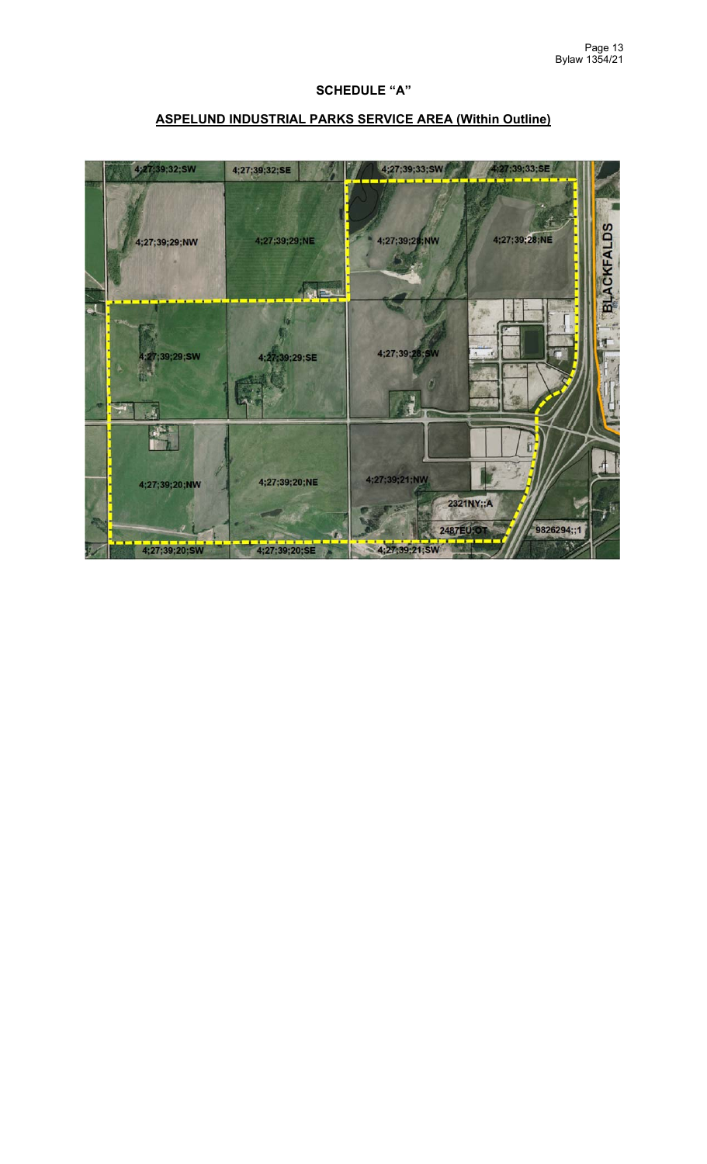## **SCHEDULE "A"**

# **ASPELUND INDUSTRIAL PARKS SERVICE AREA (Within Outline)**

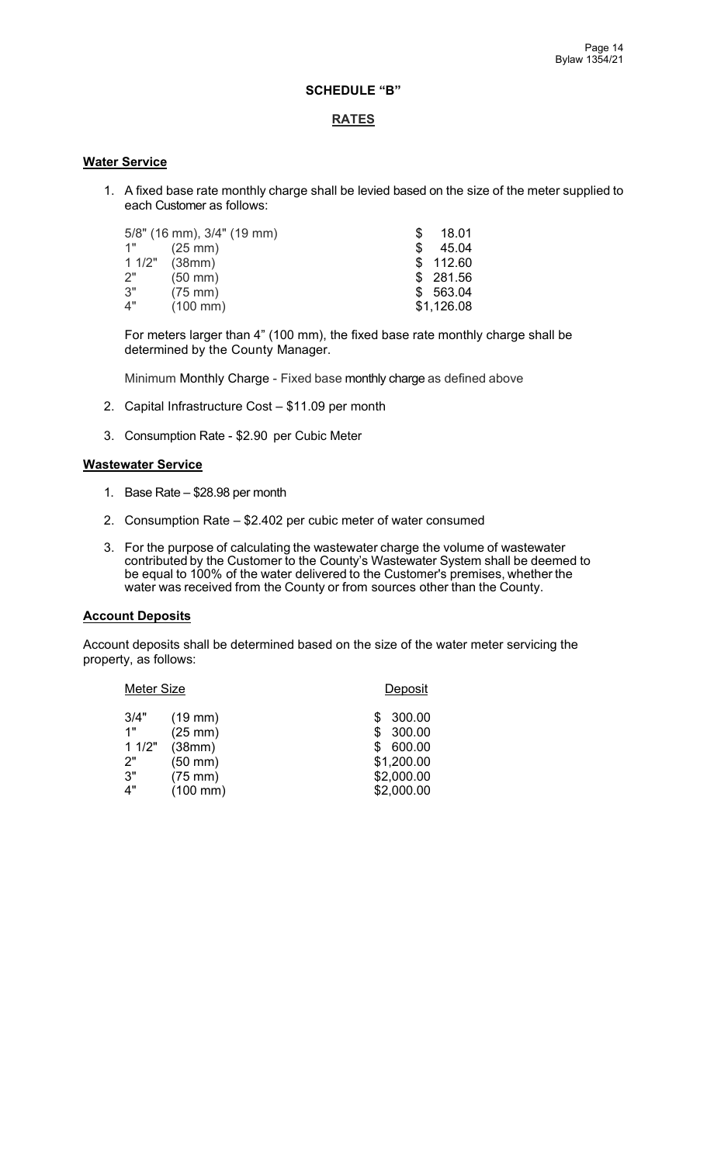## **SCHEDULE "B"**

### **RATES**

### **Water Service**

1. A fixed base rate monthly charge shall be levied based on the size of the meter supplied to each Customer as follows:

|    | 5/8" (16 mm), 3/4" (19 mm) |     | 18.01      |  |
|----|----------------------------|-----|------------|--|
| 1" | $(25 \text{ mm})$          | \$. | 45.04      |  |
|    | $11/2"$ (38mm)             |     | \$112.60   |  |
| 2" | $(50 \text{ mm})$          |     | \$281.56   |  |
| 3" | $(75 \text{ mm})$          |     | \$563.04   |  |
| 4" | $(100 \, \text{mm})$       |     | \$1,126.08 |  |

For meters larger than 4" (100 mm), the fixed base rate monthly charge shall be determined by the County Manager.

Minimum Monthly Charge - Fixed base monthly charge as defined above

- 2. Capital Infrastructure Cost \$11.09 per month
- 3. Consumption Rate \$2.90 per Cubic Meter

#### **Wastewater Service**

- 1. Base Rate \$28.98 per month
- 2. Consumption Rate \$2.402 per cubic meter of water consumed
- 3. For the purpose of calculating the wastewater charge the volume of wastewater contributed by the Customer to the County's Wastewater System shall be deemed to be equal to 100% of the water delivered to the Customer's premises, whether the water was received from the County or from sources other than the County.

#### **Account Deposits**

Account deposits shall be determined based on the size of the water meter servicing the property, as follows:

| <b>Meter Size</b> |                      | Deposit    |
|-------------------|----------------------|------------|
| 3/4"              | $(19$ mm $)$         | 300.00     |
| 1"                | $(25$ mm $)$         | 300.00     |
| 11/2"             | (38mm)               | 600.00     |
| 2"                | $(50$ mm $)$         | \$1,200.00 |
| 3"                | $(75$ mm $)$         | \$2,000.00 |
| 4"                | $(100 \, \text{mm})$ | \$2,000.00 |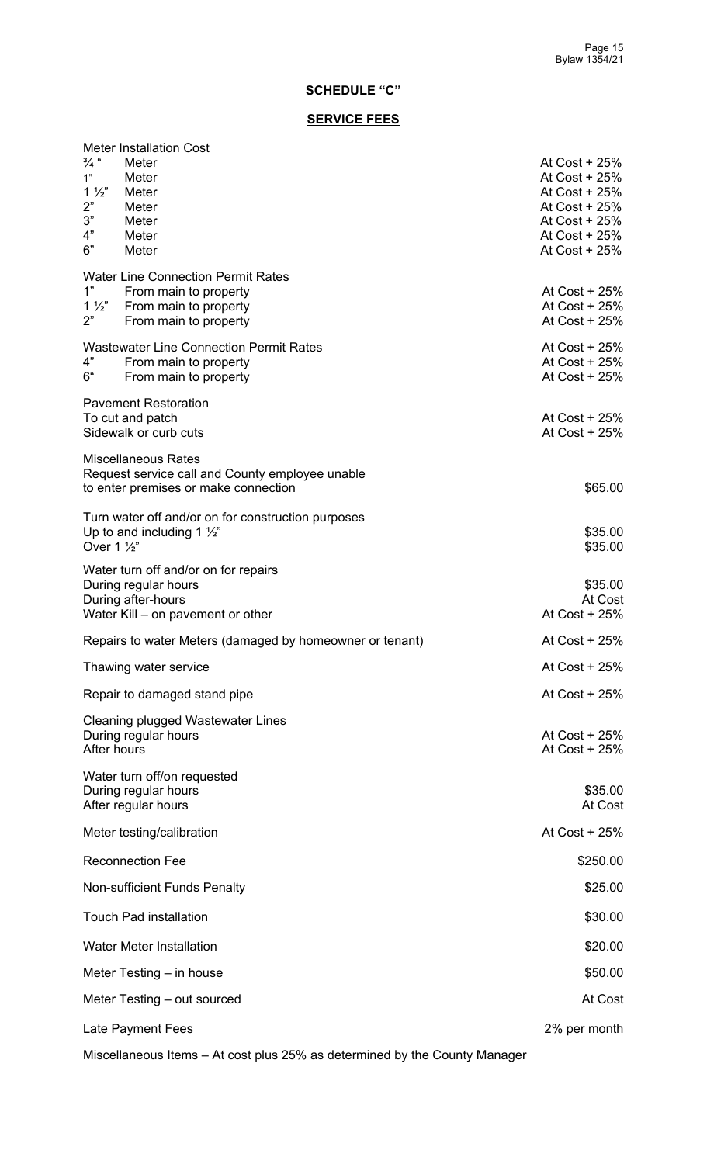# **SCHEDULE "C"**

## **SERVICE FEES**

| <b>Meter Installation Cost</b><br>$\frac{3}{4}$ "<br>Meter<br>Meter<br>1"<br>$1\frac{1}{2}$<br>Meter<br>2"<br>Meter<br>3"<br>Meter<br>4"<br>Meter<br>6"<br>Meter | At Cost $+25%$<br>At Cost + 25%<br>At $Cost + 25%$<br>At Cost + 25%<br>At Cost $+25%$<br>At Cost $+25%$<br>At Cost $+25%$ |
|------------------------------------------------------------------------------------------------------------------------------------------------------------------|---------------------------------------------------------------------------------------------------------------------------|
| <b>Water Line Connection Permit Rates</b><br>1"<br>From main to property<br>$1\frac{1}{2}$<br>From main to property<br>2"<br>From main to property               | At Cost + 25%<br>At Cost + 25%<br>At Cost $+25%$                                                                          |
| <b>Wastewater Line Connection Permit Rates</b><br>4"<br>From main to property<br>6"<br>From main to property                                                     | At Cost $+25%$<br>At Cost $+25%$<br>At Cost $+25%$                                                                        |
| <b>Pavement Restoration</b><br>To cut and patch<br>Sidewalk or curb cuts                                                                                         | At Cost $+25%$<br>At Cost + 25%                                                                                           |
| <b>Miscellaneous Rates</b><br>Request service call and County employee unable<br>to enter premises or make connection                                            | \$65.00                                                                                                                   |
| Turn water off and/or on for construction purposes<br>Up to and including 1 $\frac{1}{2}$ "<br>Over 1 1/2"                                                       | \$35.00<br>\$35.00                                                                                                        |
| Water turn off and/or on for repairs<br>During regular hours<br>During after-hours<br>Water Kill – on pavement or other                                          | \$35.00<br>At Cost<br>At Cost + 25%                                                                                       |
| Repairs to water Meters (damaged by homeowner or tenant)                                                                                                         | At Cost + 25%                                                                                                             |
| Thawing water service                                                                                                                                            | At Cost + 25%                                                                                                             |
| Repair to damaged stand pipe                                                                                                                                     | At Cost + 25%                                                                                                             |
| Cleaning plugged Wastewater Lines<br>During regular hours<br>After hours                                                                                         | At Cost + 25%<br>At Cost + 25%                                                                                            |
| Water turn off/on requested<br>During regular hours<br>After regular hours                                                                                       | \$35.00<br>At Cost                                                                                                        |
| Meter testing/calibration                                                                                                                                        | At Cost + 25%                                                                                                             |
| <b>Reconnection Fee</b>                                                                                                                                          | \$250.00                                                                                                                  |
| Non-sufficient Funds Penalty                                                                                                                                     | \$25.00                                                                                                                   |
| <b>Touch Pad installation</b>                                                                                                                                    | \$30.00                                                                                                                   |
| <b>Water Meter Installation</b>                                                                                                                                  | \$20.00                                                                                                                   |
| Meter Testing $-$ in house                                                                                                                                       | \$50.00                                                                                                                   |
| Meter Testing – out sourced                                                                                                                                      | At Cost                                                                                                                   |
| Late Payment Fees                                                                                                                                                | 2% per month                                                                                                              |

Miscellaneous Items – At cost plus 25% as determined by the County Manager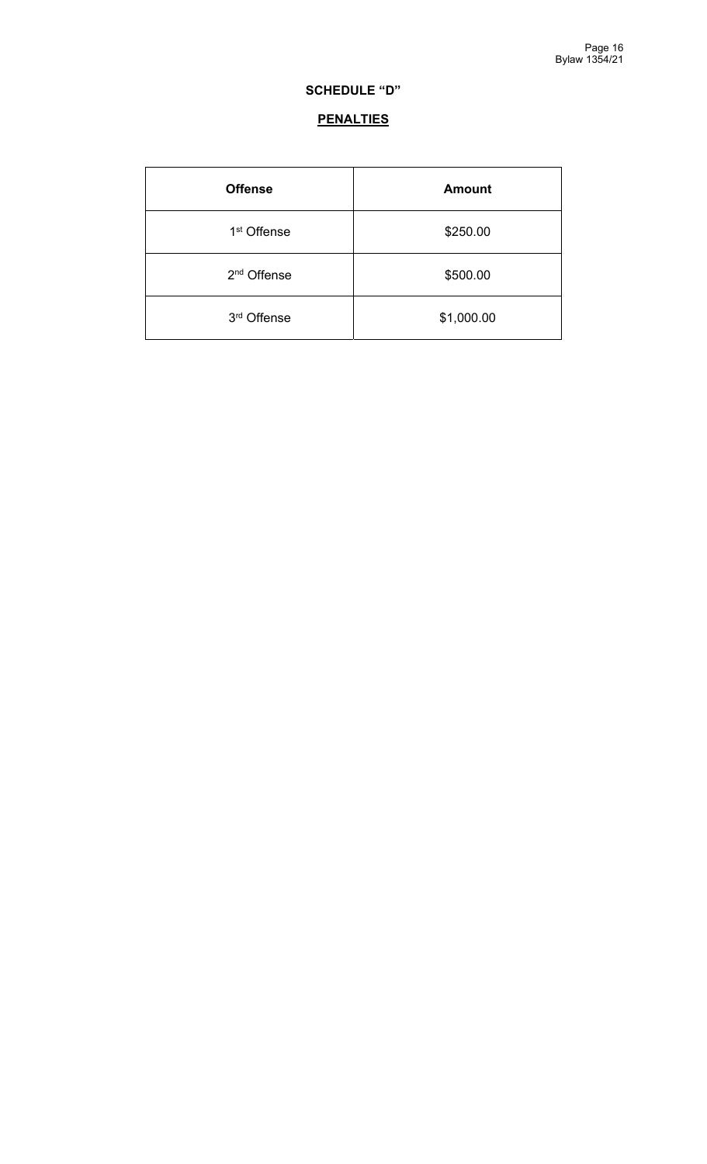# **SCHEDULE "D"**

# **PENALTIES**

| <b>Offense</b>          | <b>Amount</b> |
|-------------------------|---------------|
| 1 <sup>st</sup> Offense | \$250.00      |
| 2 <sup>nd</sup> Offense | \$500.00      |
| 3rd Offense             | \$1,000.00    |